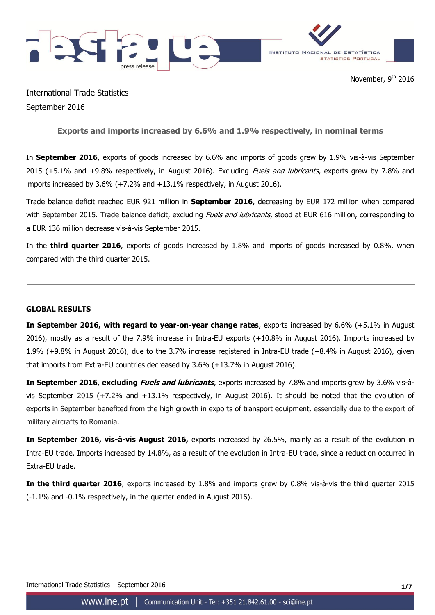

International Trade Statistics September 2016

# **Exports and imports increased by 6.6% and 1.9% respectively, in nominal terms**

In **September 2016**, exports of goods increased by 6.6% and imports of goods grew by 1.9% vis-à-vis September 2015 (+5.1% and +9.8% respectively, in August 2016). Excluding *Fuels and lubricants*, exports grew by 7.8% and imports increased by 3.6% (+7.2% and +13.1% respectively, in August 2016).

Trade balance deficit reached EUR 921 million in **September 2016**, decreasing by EUR 172 million when compared with September 2015. Trade balance deficit, excluding *Fuels and Jubricants*, stood at EUR 616 million, corresponding to a EUR 136 million decrease vis-à-vis September 2015.

In the **third quarter 2016**, exports of goods increased by 1.8% and imports of goods increased by 0.8%, when compared with the third quarter 2015.

## **GLOBAL RESULTS**

**In September 2016, with regard to year-on-year change rates**, exports increased by 6.6% (+5.1% in August 2016), mostly as a result of the 7.9% increase in Intra-EU exports (+10.8% in August 2016). Imports increased by 1.9% (+9.8% in August 2016), due to the 3.7% increase registered in Intra-EU trade (+8.4% in August 2016), given that imports from Extra-EU countries decreased by 3.6% (+13.7% in August 2016).

**In September 2016**, **excluding Fuels and lubricants**, exports increased by 7.8% and imports grew by 3.6% vis-àvis September 2015 (+7.2% and +13.1% respectively, in August 2016). It should be noted that the evolution of exports in September benefited from the high growth in exports of transport equipment, essentially due to the export of military aircrafts to Romania.

**In September 2016, vis-à-vis August 2016,** exports increased by 26.5%, mainly as a result of the evolution in Intra-EU trade. Imports increased by 14.8%, as a result of the evolution in Intra-EU trade, since a reduction occurred in Extra-EU trade.

**In the third quarter 2016**, exports increased by 1.8% and imports grew by 0.8% vis-à-vis the third quarter 2015 (-1.1% and -0.1% respectively, in the quarter ended in August 2016).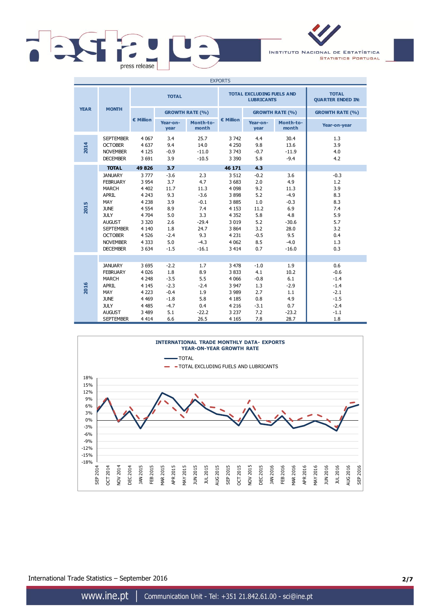

INSTITUTO NACIONAL DE ESTATÍSTICA **STATISTICS PORTUGAL** 

| <b>EXPORTS</b> |                                                                                                                                                                                                     |                                                                                                                             |                                                                                            |                                                                                                     |                                                                                                                            |                                                                                         |                                                                                                     |                                                                                     |
|----------------|-----------------------------------------------------------------------------------------------------------------------------------------------------------------------------------------------------|-----------------------------------------------------------------------------------------------------------------------------|--------------------------------------------------------------------------------------------|-----------------------------------------------------------------------------------------------------|----------------------------------------------------------------------------------------------------------------------------|-----------------------------------------------------------------------------------------|-----------------------------------------------------------------------------------------------------|-------------------------------------------------------------------------------------|
|                |                                                                                                                                                                                                     | <b>TOTAL</b>                                                                                                                |                                                                                            |                                                                                                     |                                                                                                                            | <b>TOTAL EXCLUDING FUELS AND</b><br><b>LUBRICANTS</b>                                   | <b>TOTAL</b><br><b>QUARTER ENDED IN:</b>                                                            |                                                                                     |
| <b>YEAR</b>    | <b>MONTH</b>                                                                                                                                                                                        |                                                                                                                             | <b>GROWTH RATE (%)</b>                                                                     |                                                                                                     |                                                                                                                            |                                                                                         | <b>GROWTH RATE (%)</b>                                                                              | <b>GROWTH RATE (%)</b>                                                              |
|                |                                                                                                                                                                                                     | € Million                                                                                                                   | Year-on-<br>year                                                                           | Month-to-<br>month                                                                                  | $\epsilon$ Million                                                                                                         | Year-on-<br>year                                                                        | Month-to-<br>month                                                                                  | Year-on-year                                                                        |
| 2014           | <b>SEPTEMBER</b><br><b>OCTOBER</b><br><b>NOVEMBER</b><br><b>DECEMBER</b>                                                                                                                            | 4 0 67<br>4 6 3 7<br>4 1 2 5<br>3 6 9 1                                                                                     | 3.4<br>9.4<br>$-0.9$<br>3.9                                                                | 25.7<br>14.0<br>$-11.0$<br>$-10.5$                                                                  | 3742<br>4 2 5 0<br>3 7 4 3<br>3 3 9 0                                                                                      | 4.4<br>9.8<br>$-0.7$<br>5.8                                                             | 30.4<br>13.6<br>$-11.9$<br>$-9.4$                                                                   | 1.3<br>3.9<br>4.0<br>4.2                                                            |
|                | <b>TOTAL</b>                                                                                                                                                                                        | 49 826                                                                                                                      | 3.7                                                                                        |                                                                                                     | 46 171                                                                                                                     | 4.3                                                                                     |                                                                                                     |                                                                                     |
| 2015           | <b>JANUARY</b><br><b>FEBRUARY</b><br><b>MARCH</b><br><b>APRIL</b><br>MAY<br><b>JUNE</b><br><b>JULY</b><br><b>AUGUST</b><br><b>SEPTEMBER</b><br><b>OCTOBER</b><br><b>NOVEMBER</b><br><b>DECEMBER</b> | 3777<br>3 9 5 4<br>4 4 0 2<br>4 2 4 3<br>4 2 3 8<br>4 5 5 4<br>4 704<br>3 3 2 0<br>4 1 4 0<br>4 5 2 6<br>4 3 3 3<br>3 6 3 4 | $-3.6$<br>3.7<br>11.7<br>9.3<br>3.9<br>8.9<br>5.0<br>2.6<br>1.8<br>$-2.4$<br>5.0<br>$-1.5$ | 2.3<br>4.7<br>11.3<br>$-3.6$<br>$-0.1$<br>7.4<br>3.3<br>$-29.4$<br>24.7<br>9.3<br>$-4.3$<br>$-16.1$ | 3 5 1 2<br>3 6 8 3<br>4 0 9 8<br>3898<br>3885<br>4 1 5 3<br>4 3 5 2<br>3 0 1 9<br>3 8 6 4<br>4 2 3 1<br>4 0 6 2<br>3 4 1 4 | $-0.2$<br>2.0<br>9.2<br>5.2<br>1.0<br>11.2<br>5.8<br>5.2<br>3.2<br>$-0.5$<br>8.5<br>0.7 | 3.6<br>4.9<br>11.3<br>$-4.9$<br>$-0.3$<br>6.9<br>4.8<br>$-30.6$<br>28.0<br>9.5<br>$-4.0$<br>$-16.0$ | $-0.3$<br>1.2<br>3.9<br>8.3<br>8.3<br>7.4<br>5.9<br>5.7<br>3.2<br>0.4<br>1.3<br>0.3 |
| 2016           | <b>JANUARY</b><br><b>FEBRUARY</b><br><b>MARCH</b><br><b>APRIL</b><br>MAY<br><b>JUNE</b><br><b>JULY</b><br><b>AUGUST</b><br><b>SEPTEMBER</b>                                                         | 3695<br>4 0 2 6<br>4 2 4 8<br>4 1 4 5<br>4 2 2 3<br>4 4 6 9<br>4 4 8 5<br>3 4 8 9<br>4 4 1 4                                | $-2.2$<br>1.8<br>$-3.5$<br>$-2.3$<br>$-0.4$<br>$-1.8$<br>$-4.7$<br>5.1<br>6.6              | 1.7<br>8.9<br>5.5<br>$-2.4$<br>1.9<br>5.8<br>0.4<br>$-22.2$<br>26.5                                 | 3 4 7 8<br>3833<br>4 0 6 6<br>3 9 4 7<br>3 9 8 9<br>4 1 8 5<br>4 2 1 6<br>3 2 3 7<br>4 1 6 5                               | $-1.0$<br>4.1<br>$-0.8$<br>1.3<br>2.7<br>0.8<br>$-3.1$<br>7.2<br>7.8                    | 1.9<br>10.2<br>6.1<br>$-2.9$<br>1.1<br>4.9<br>0.7<br>$-23.2$<br>28.7                                | 0.6<br>$-0.6$<br>$-1.4$<br>$-1.4$<br>$-2.1$<br>$-1.5$<br>$-2.4$<br>$-1.1$<br>1.8    |



International Trade Statistics – September 2016 **2/7**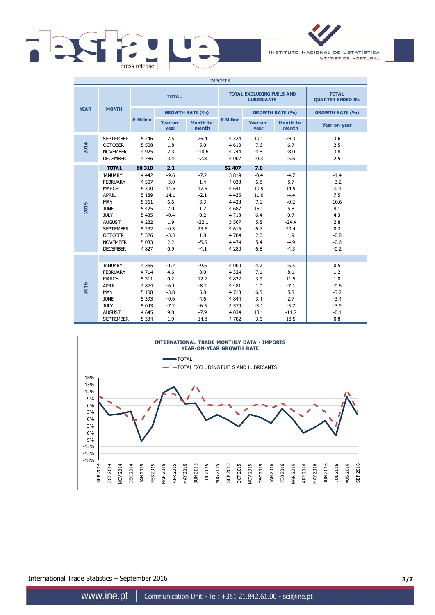

INSTITUTO NACIONAL DE ESTATÍSTICA **STATISTICS PORTUGAL** 

| <b>IMPORTS</b> |                                                                                                                                                                                                     |                                                                                                                           |                                                                                                   |                                                                                                    |                                                                                                                         |                                                                                        |                                                                                                       |                                                                                                     |  |
|----------------|-----------------------------------------------------------------------------------------------------------------------------------------------------------------------------------------------------|---------------------------------------------------------------------------------------------------------------------------|---------------------------------------------------------------------------------------------------|----------------------------------------------------------------------------------------------------|-------------------------------------------------------------------------------------------------------------------------|----------------------------------------------------------------------------------------|-------------------------------------------------------------------------------------------------------|-----------------------------------------------------------------------------------------------------|--|
|                |                                                                                                                                                                                                     | <b>TOTAL</b>                                                                                                              |                                                                                                   |                                                                                                    |                                                                                                                         | <b>TOTAL EXCLUDING FUELS AND</b><br><b>LUBRICANTS</b>                                  | <b>TOTAL</b><br><b>QUARTER ENDED IN:</b>                                                              |                                                                                                     |  |
| <b>YEAR</b>    | <b>MONTH</b>                                                                                                                                                                                        |                                                                                                                           |                                                                                                   | <b>GROWTH RATE (%)</b>                                                                             |                                                                                                                         | <b>GROWTH RATE (%)</b>                                                                 |                                                                                                       | <b>GROWTH RATE (%)</b>                                                                              |  |
|                |                                                                                                                                                                                                     | € Million                                                                                                                 | Year-on-<br>year                                                                                  | Month-to-<br>month                                                                                 | € Million                                                                                                               | Year-on-<br>year                                                                       | Month-to-<br>month                                                                                    | Year-on-year                                                                                        |  |
| 2014           | <b>SEPTEMBER</b><br><b>OCTOBER</b><br><b>NOVEMBER</b><br><b>DECEMBER</b>                                                                                                                            | 5 2 4 6<br>5 5 0 8<br>4 9 2 5<br>4786                                                                                     | 7.5<br>1.8<br>2.3<br>3.4                                                                          | 26.4<br>5.0<br>$-10.6$<br>$-2.8$                                                                   | 4 3 2 4<br>4 6 1 3<br>4 2 4 4<br>4 0 0 7                                                                                | 10.1<br>7.6<br>4.8<br>$-0.3$                                                           | 28.3<br>6.7<br>$-8.0$<br>$-5.6$                                                                       | 3.6<br>2.5<br>3.8<br>2.5                                                                            |  |
|                | <b>TOTAL</b>                                                                                                                                                                                        | 60 310                                                                                                                    | 2.2                                                                                               |                                                                                                    | 52 407                                                                                                                  | 7.0                                                                                    |                                                                                                       |                                                                                                     |  |
| 2015           | <b>JANUARY</b><br><b>FEBRUARY</b><br><b>MARCH</b><br><b>APRIL</b><br>MAY<br><b>JUNE</b><br><b>JULY</b><br><b>AUGUST</b><br><b>SEPTEMBER</b><br><b>OCTOBER</b><br><b>NOVEMBER</b><br><b>DECEMBER</b> | 4 4 4 2<br>4 507<br>5 300<br>5 1 8 9<br>5 3 6 1<br>5 4 2 5<br>5 4 3 5<br>4 2 3 2<br>5 2 3 2<br>5 3 2 6<br>5 0 3 3<br>4827 | $-9.6$<br>$-3.0$<br>11.6<br>14.1<br>6.6<br>7.0<br>$-0.4$<br>1.9<br>$-0.3$<br>$-3.3$<br>2.2<br>0.9 | $-7.2$<br>1.4<br>17.6<br>$-2.1$<br>3.3<br>1.2<br>0.2<br>$-22.1$<br>23.6<br>1.8<br>$-5.5$<br>$-4.1$ | 3819<br>4 0 38<br>4 6 4 1<br>4 4 3 6<br>4 4 2 8<br>4 6 8 7<br>4718<br>3 5 6 7<br>4 6 1 6<br>4 704<br>4 4 7 4<br>4 2 8 0 | $-0.4$<br>6.8<br>10.9<br>11.0<br>7.1<br>15.1<br>6.4<br>5.8<br>6.7<br>2.0<br>5.4<br>6.8 | $-4.7$<br>5.7<br>14.9<br>$-4.4$<br>$-0.2$<br>5.8<br>0.7<br>$-24.4$<br>29.4<br>1.9<br>$-4.9$<br>$-4.3$ | $-1.4$<br>$-3.2$<br>$-0.4$<br>7.5<br>10.6<br>9.1<br>4.3<br>2.8<br>0.3<br>$-0.8$<br>$-0.6$<br>$-0.2$ |  |
| 2016           | <b>JANUARY</b><br><b>FEBRUARY</b><br><b>MARCH</b><br><b>APRIL</b><br>MAY<br><b>JUNE</b><br><b>JULY</b><br><b>AUGUST</b><br><b>SEPTEMBER</b>                                                         | 4 3 6 5<br>4 7 1 4<br>5 3 1 1<br>4 8 7 4<br>5 1 5 8<br>5 3 9 3<br>5 0 43<br>4 6 4 5<br>5 3 3 4                            | $-1.7$<br>4.6<br>0.2<br>$-6.1$<br>$-3.8$<br>$-0.6$<br>$-7.2$<br>9.8<br>1.9                        | $-9.6$<br>8.0<br>12.7<br>$-8.2$<br>5.8<br>4.6<br>$-6.5$<br>$-7.9$<br>14.8                          | 4 0 0 0<br>4 3 2 4<br>4822<br>4 4 8 1<br>4718<br>4 8 4 4<br>4 570<br>4 0 34<br>4782                                     | 4.7<br>7.1<br>3.9<br>1.0<br>6.5<br>3.4<br>$-3.1$<br>13.1<br>3.6                        | $-6.5$<br>8.1<br>11.5<br>$-7.1$<br>5.3<br>2.7<br>$-5.7$<br>$-11.7$<br>18.5                            | 0.5<br>1.2<br>1.0<br>$-0.6$<br>$-3.2$<br>$-3.4$<br>$-3.9$<br>$-0.1$<br>0.8                          |  |



International Trade Statistics – September 2016 **3/7**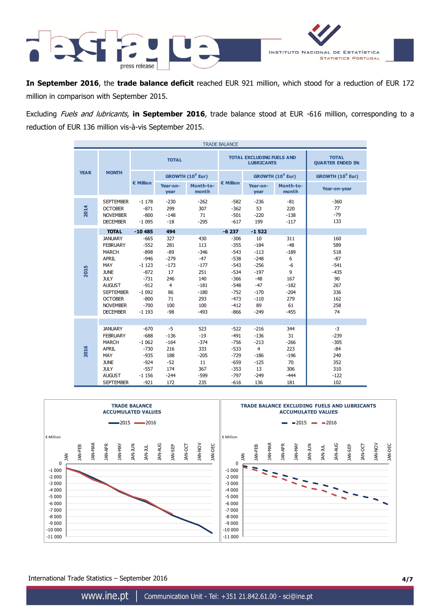

**In September 2016**, the **trade balance deficit** reached EUR 921 million, which stood for a reduction of EUR 172 million in comparison with September 2015.

Excluding Fuels and lubricants, **in September 2016**, trade balance stood at EUR -616 million, corresponding to a reduction of EUR 136 million vis-à-vis September 2015.

| <b>TRADE BALANCE</b> |                                                                                                                                                                                                     |                                                                                                                         |                                                                                                  |                                                                                                   |                                                                                                                      |                                                                                                            |                                                                                            |                                                                                        |  |
|----------------------|-----------------------------------------------------------------------------------------------------------------------------------------------------------------------------------------------------|-------------------------------------------------------------------------------------------------------------------------|--------------------------------------------------------------------------------------------------|---------------------------------------------------------------------------------------------------|----------------------------------------------------------------------------------------------------------------------|------------------------------------------------------------------------------------------------------------|--------------------------------------------------------------------------------------------|----------------------------------------------------------------------------------------|--|
|                      |                                                                                                                                                                                                     |                                                                                                                         | <b>TOTAL</b>                                                                                     |                                                                                                   |                                                                                                                      | <b>TOTAL EXCLUDING FUELS AND</b><br><b>LUBRICANTS</b>                                                      | <b>TOTAL</b><br><b>QUARTER ENDED IN:</b>                                                   |                                                                                        |  |
| <b>YEAR</b>          | <b>MONTH</b>                                                                                                                                                                                        |                                                                                                                         |                                                                                                  | GROWTH (10 <sup>6</sup> Eur)                                                                      |                                                                                                                      | GROWTH (10 <sup>6</sup> Eur)                                                                               |                                                                                            | GROWTH (10 <sup>6</sup> Eur)                                                           |  |
|                      |                                                                                                                                                                                                     | € Million                                                                                                               | Year-on-<br>year                                                                                 | Month-to-<br>month                                                                                | € Million                                                                                                            | Year-on-<br>year                                                                                           | Month-to-<br>month                                                                         | Year-on-year                                                                           |  |
| 2014                 | <b>SEPTEMBER</b><br><b>OCTOBER</b><br><b>NOVEMBER</b><br><b>DECEMBER</b>                                                                                                                            | $-1178$<br>$-871$<br>$-800$<br>$-1095$                                                                                  | $-230$<br>299<br>$-148$<br>$-18$                                                                 | $-262$<br>307<br>71<br>$-295$                                                                     | $-582$<br>$-362$<br>$-501$<br>$-617$                                                                                 | $-236$<br>53<br>$-220$<br>199                                                                              | $-81$<br>220<br>$-138$<br>$-117$                                                           | $-360$<br>77<br>$-79$<br>133                                                           |  |
|                      | <b>TOTAL</b>                                                                                                                                                                                        | $-10485$                                                                                                                | 494                                                                                              |                                                                                                   | $-6237$                                                                                                              | $-1522$                                                                                                    |                                                                                            |                                                                                        |  |
| 2015                 | <b>JANUARY</b><br><b>FEBRUARY</b><br><b>MARCH</b><br><b>APRIL</b><br>MAY<br><b>JUNE</b><br><b>JULY</b><br><b>AUGUST</b><br><b>SEPTEMBER</b><br><b>OCTOBER</b><br><b>NOVEMBER</b><br><b>DECEMBER</b> | $-665$<br>$-552$<br>$-898$<br>$-946$<br>$-1123$<br>$-872$<br>$-731$<br>$-912$<br>$-1092$<br>$-800$<br>$-700$<br>$-1193$ | 327<br>281<br>$-89$<br>$-279$<br>$-173$<br>17<br>246<br>$\overline{4}$<br>86<br>71<br>100<br>-98 | 430<br>113<br>$-346$<br>$-47$<br>$-177$<br>251<br>140<br>$-181$<br>$-180$<br>293<br>100<br>$-493$ | $-306$<br>$-355$<br>$-543$<br>$-538$<br>$-543$<br>$-534$<br>$-366$<br>$-548$<br>$-752$<br>$-473$<br>$-412$<br>$-866$ | 10<br>$-184$<br>$-113$<br>$-248$<br>$-256$<br>$-197$<br>$-48$<br>$-47$<br>$-170$<br>$-110$<br>89<br>$-249$ | 311<br>$-48$<br>$-189$<br>6<br>$-6$<br>9<br>167<br>$-182$<br>$-204$<br>279<br>61<br>$-455$ | 160<br>589<br>518<br>$-87$<br>$-541$<br>$-435$<br>90<br>267<br>336<br>162<br>258<br>74 |  |
| 2016                 | <b>JANUARY</b><br><b>FEBRUARY</b><br><b>MARCH</b><br><b>APRIL</b><br>MAY<br><b>JUNE</b><br><b>JULY</b><br><b>AUGUST</b><br><b>SEPTEMBER</b>                                                         | $-670$<br>$-688$<br>$-1062$<br>$-730$<br>$-935$<br>$-924$<br>$-557$<br>$-1156$<br>$-921$                                | $-5$<br>$-136$<br>$-164$<br>216<br>188<br>$-52$<br>174<br>$-244$<br>172                          | 523<br>$-19$<br>$-374$<br>333<br>$-205$<br>11<br>367<br>$-599$<br>235                             | $-522$<br>$-491$<br>$-756$<br>$-533$<br>$-729$<br>$-659$<br>$-353$<br>$-797$<br>$-616$                               | $-216$<br>$-136$<br>$-213$<br>$\overline{4}$<br>$-186$<br>$-125$<br>13<br>$-249$<br>136                    | 344<br>31<br>$-266$<br>223<br>$-196$<br>70<br>306<br>$-444$<br>181                         | $-3$<br>$-239$<br>$-305$<br>$-84$<br>240<br>352<br>310<br>$-122$<br>102                |  |



International Trade Statistics – September 2016 **4/7**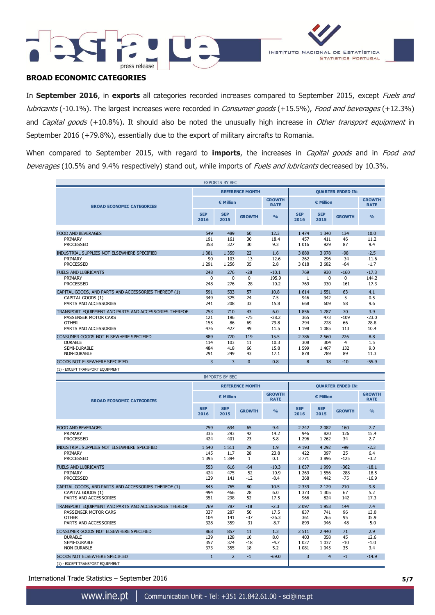



# **BROAD ECONOMIC CATEGORIES**

In **September 2016**, in **exports** all categories recorded increases compared to September 2015, except Fuels and lubricants (-10.1%). The largest increases were recorded in Consumer goods (+15.5%), Food and beverages (+12.3%) and Capital goods (+10.8%). It should also be noted the unusually high increase in Other transport equipment in September 2016 (+79.8%), essentially due to the export of military aircrafts to Romania.

When compared to September 2015, with regard to *imports*, the increases in *Capital goods* and in *Food and* beverages (10.5% and 9.4% respectively) stand out, while imports of Fuels and lubricants decreased by 10.3%.

|                                                       |                        | <b>EXPORTS BY BEC</b> |                        |                              |                    |                    |                          |                              |  |  |  |  |
|-------------------------------------------------------|------------------------|-----------------------|------------------------|------------------------------|--------------------|--------------------|--------------------------|------------------------------|--|--|--|--|
|                                                       | <b>REFERENCE MONTH</b> |                       |                        |                              |                    |                    | <b>QUARTER ENDED IN:</b> |                              |  |  |  |  |
| <b>BROAD ECONOMIC CATEGORIES</b>                      |                        | € Million             |                        | <b>GROWTH</b><br><b>RATE</b> | € Million          |                    |                          | <b>GROWTH</b><br><b>RATE</b> |  |  |  |  |
|                                                       | <b>SEP</b><br>2016     | <b>SEP</b><br>2015    | <b>GROWTH</b>          | $\frac{0}{0}$                | <b>SEP</b><br>2016 | <b>SEP</b><br>2015 | <b>GROWTH</b>            | O <sub>0</sub>               |  |  |  |  |
| <b>FOOD AND BEVERAGES</b>                             | 549                    | 489                   | 60                     | 12.3                         | 1 474              | 1 3 4 0            | 134                      | 10.0                         |  |  |  |  |
| PRIMARY                                               | 191                    | 161                   | 30                     | 18.4                         | 457                | 411                | 46                       | 11.2                         |  |  |  |  |
| <b>PROCESSED</b>                                      | 358                    | 327                   | 30                     | 9.3                          | 1 0 1 6            | 929                | 87                       | 9.4                          |  |  |  |  |
| INDUSTRIAL SUPPLIES NOT ELSEWHERE SPECIFIED           | 1 3 8 1                | 1 3 5 9               | 22                     | 1.6                          | 3880               | 3 9 7 8            | $-98$                    | $-2.5$                       |  |  |  |  |
| PRIMARY                                               | 90                     | 103                   | -13                    | $-12.6$                      | 262                | 296                | $-34$                    | $-11.6$                      |  |  |  |  |
| <b>PROCESSED</b>                                      | 1 2 9 1                | 1 2 5 6               | 35                     | 2.8                          | 3 6 18             | 3 6 8 2            | $-64$                    | $-1.7$                       |  |  |  |  |
| <b>FUELS AND LUBRICANTS</b>                           | 248                    | 276                   | $-28$                  | $-10.1$                      | 769                | 930                | $-160$                   | $-17.3$                      |  |  |  |  |
| PRIMARY<br><b>PROCESSED</b>                           | 0<br>248               | 0<br>276              | 0<br>$-28$             | 195.9<br>$-10.2$             | 1<br>769           | 0<br>930           | 0<br>$-161$              | 144.2<br>$-17.3$             |  |  |  |  |
| CAPITAL GOODS, AND PARTS AND ACCESSORIES THEREOF (1)  | 591                    | 533                   | 57                     | 10.8                         | 1614               | 1 5 5 1            | 63                       | 4.1                          |  |  |  |  |
| CAPITAL GOODS (1)                                     | 349                    | 325                   | 24                     | 7.5                          | 946                | 942                | 5                        | 0.5                          |  |  |  |  |
| PARTS AND ACCESSORIES                                 | 241                    | 208                   | 33                     | 15.8                         | 668                | 609                | 58                       | 9.6                          |  |  |  |  |
| TRANSPORT EQUIPMENT AND PARTS AND ACCESSORIES THEREOF | 753                    | 710                   | 43                     | 6.0                          | 1856               | 1787               | 70                       | 3.9                          |  |  |  |  |
| PASSENGER MOTOR CARS                                  | 121                    | 196                   | $-75$                  | $-38.2$                      | 365                | 473                | $-109$                   | $-23.0$                      |  |  |  |  |
| <b>OTHER</b>                                          | 155                    | 86                    | 69                     | 79.8                         | 294                | 228                | 66                       | 28.8                         |  |  |  |  |
| PARTS AND ACCESSORIES                                 | 476                    | 427                   | 49                     | 11.5                         | 1 1 9 8            | 1 0 8 5            | 113                      | 10.4                         |  |  |  |  |
| CONSUMER GOODS NOT ELSEWHERE SPECIFIED                | 889                    | 770                   | 119                    | 15.5                         | 2 786              | 2 5 6 0            | 226                      | 8.8                          |  |  |  |  |
| <b>DURABLE</b><br><b>SEMI-DURABLE</b>                 | 114<br>484             | 103<br>418            | 11<br>66               | 10.3<br>15.8                 | 308<br>1 5 9 9     | 304<br>1 4 6 7     | $\overline{4}$<br>132    | 1.5<br>9.0                   |  |  |  |  |
| <b>NON-DURABLE</b>                                    | 291                    | 249                   | 43                     | 17.1                         | 878                | 789                | 89                       | 11.3                         |  |  |  |  |
| <b>GOODS NOT ELSEWHERE SPECIFIED</b>                  | 3                      | 3                     | $\Omega$               | 0.8                          | 8                  | 18                 | $-10$                    | $-55.9$                      |  |  |  |  |
|                                                       |                        |                       |                        |                              |                    |                    |                          |                              |  |  |  |  |
|                                                       |                        |                       |                        |                              |                    |                    |                          |                              |  |  |  |  |
| (1) - EXCEPT TRANSPORT EQUIPMENT                      |                        | <b>IMPORTS BY BEC</b> |                        |                              |                    |                    |                          |                              |  |  |  |  |
|                                                       |                        |                       |                        |                              |                    |                    |                          |                              |  |  |  |  |
|                                                       |                        |                       | <b>REFERENCE MONTH</b> | <b>GROWTH</b>                |                    |                    | <b>QUARTER ENDED IN:</b> | <b>GROWTH</b>                |  |  |  |  |
| <b>BROAD ECONOMIC CATEGORIES</b>                      |                        | € Million             |                        | <b>RATE</b>                  |                    | € Million          |                          | <b>RATE</b>                  |  |  |  |  |
|                                                       | <b>SEP</b><br>2016     | <b>SEP</b><br>2015    | <b>GROWTH</b>          | $\frac{0}{0}$                | <b>SEP</b><br>2016 | <b>SEP</b><br>2015 | <b>GROWTH</b>            | $\frac{0}{0}$                |  |  |  |  |
|                                                       |                        | 694                   |                        | 9.4                          | 2 2 4 2            |                    | 160                      |                              |  |  |  |  |
| <b>FOOD AND BEVERAGES</b><br>PRIMARY                  | 759<br>335             | 293                   | 65<br>42               | 14.2                         | 946                | 2 0 8 2<br>820     | 126                      | 7.7<br>15.4                  |  |  |  |  |
| <b>PROCESSED</b>                                      | 424                    | 401                   | 23                     | 5.8                          | 1 2 9 6            | 1 2 6 2            | 34                       | 2.7                          |  |  |  |  |
| INDUSTRIAL SUPPLIES NOT ELSEWHERE SPECIFIED           | 540<br>$\mathbf{1}$    | 1511                  | 29                     | 1.9                          | 4 1 9 3            | 4 2 9 2            | $-99$                    | $-2.3$                       |  |  |  |  |
| PRIMARY                                               | 145                    | 117                   | 28                     | 23.8                         | 422                | 397                | 25                       | 6.4                          |  |  |  |  |
| <b>PROCESSED</b>                                      | 1 3 9 5                | 1 3 9 4               | 1                      | 0.1                          | 3771               | 3896               | $-125$                   | $-3.2$                       |  |  |  |  |
| <b>FUELS AND LUBRICANTS</b>                           | 553                    | 616                   | $-64$                  | $-10.3$                      | 1637               | 1 9 9 9            | $-362$                   | $-18.1$                      |  |  |  |  |
| PRIMARY                                               | 424                    | 475                   | -52                    | $-10.9$                      | 1 2 6 9            | 1 5 5 6            | $-288$                   | $-18.5$                      |  |  |  |  |
| <b>PROCESSED</b>                                      | 129                    | 141                   | $-12$                  | $-8.4$                       | 368                | 442                | $-75$                    | $-16.9$                      |  |  |  |  |
| CAPITAL GOODS, AND PARTS AND ACCESSORIES THEREOF (1)  | 845                    | 765                   | 80                     | 10.5                         | 2 3 3 9            | 2 1 2 9            | 210                      | 9.8                          |  |  |  |  |
| CAPITAL GOODS (1)<br>PARTS AND ACCESSORIES            | 494<br>351             | 466<br>298            | 28<br>52               | 6.0<br>17.5                  | 1 3 7 3<br>966     | 1 3 0 5<br>824     | 67<br>142                | 5.2<br>17.3                  |  |  |  |  |
| TRANSPORT EQUIPMENT AND PARTS AND ACCESSORIES THEREOF | 769                    | 787                   | $-18$                  | $-2.3$                       | 2 0 9 7            | 1953               | 144                      | 7.4                          |  |  |  |  |
| PASSENGER MOTOR CARS                                  | 337                    | 287                   | 50                     | 17.5                         | 837                | 741                | 96                       | 13.0                         |  |  |  |  |
| <b>OTHER</b>                                          | 104                    | 141                   | $-37$                  | $-26.3$                      | 361                | 265                | 95                       | 35.9                         |  |  |  |  |
| PARTS AND ACCESSORIES                                 | 328                    | 359                   | $-31$                  | $-8.7$                       | 899                | 946                | $-48$                    | $-5.0$                       |  |  |  |  |
| CONSUMER GOODS NOT ELSEWHERE SPECIFIED                | 868                    | 857                   | 11                     | 1.3                          | 2 5 1 1            | 2 4 4 0            | 71                       | 2.9                          |  |  |  |  |
| <b>DURABLE</b><br>SEMI-DURABLE                        | 139<br>357             | 128<br>374            | 10<br>$-18$            | 8.0<br>$-4.7$                | 403<br>1 0 2 7     | 358<br>1 0 3 7     | 45<br>$-10$              | 12.6<br>$-1.0$               |  |  |  |  |

International Trade Statistics – September 2016 **5/7**

(1) - EXCEPT TRANSPORT EQUIPMENT

GOODS NOT ELSEWHERE SPECIFIED 1 2 -1 -69.0 3 4 -1 -14.9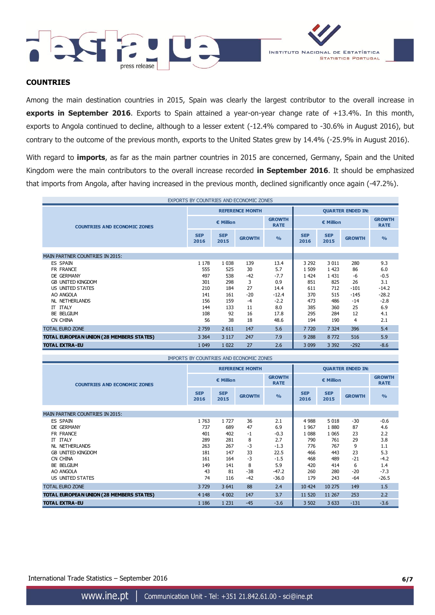



### **COUNTRIES**

Among the main destination countries in 2015, Spain was clearly the largest contributor to the overall increase in **exports in September 2016**. Exports to Spain attained a year-on-year change rate of +13.4%. In this month, exports to Angola continued to decline, although to a lesser extent (-12.4% compared to -30.6% in August 2016), but contrary to the outcome of the previous month, exports to the United States grew by 14.4% (-25.9% in August 2016).

With regard to **imports**, as far as the main partner countries in 2015 are concerned, Germany, Spain and the United Kingdom were the main contributors to the overall increase recorded **in September 2016**. It should be emphasized that imports from Angola, after having increased in the previous month, declined significantly once again (-47.2%).

| EXPORTS BY COUNTRIES AND ECONOMIC ZONES  |                    |                    |                        |                              |                          |                    |               |                              |
|------------------------------------------|--------------------|--------------------|------------------------|------------------------------|--------------------------|--------------------|---------------|------------------------------|
|                                          |                    |                    | <b>REFERENCE MONTH</b> |                              | <b>QUARTER ENDED IN:</b> |                    |               |                              |
| <b>COUNTRIES AND ECONOMIC ZONES</b>      | € Million          |                    |                        | <b>GROWTH</b><br><b>RATE</b> | € Million                |                    |               | <b>GROWTH</b><br><b>RATE</b> |
|                                          | <b>SEP</b><br>2016 | <b>SEP</b><br>2015 | <b>GROWTH</b>          | O <sub>0</sub>               | <b>SEP</b><br>2016       | <b>SEP</b><br>2015 | <b>GROWTH</b> | $\frac{0}{0}$                |
| <b>MAIN PARTNER COUNTRIES IN 2015:</b>   |                    |                    |                        |                              |                          |                    |               |                              |
| ES SPAIN                                 | 1 1 7 8            | 1 0 3 8            | 139                    | 13.4                         | 3 2 9 2                  | 3 0 1 1            | 280           | 9.3                          |
| FR FRANCE                                | 555                | 525                | 30                     | 5.7                          | 1 509                    | 1 4 2 3            | 86            | 6.0                          |
| DE GERMANY                               | 497                | 538                | $-42$                  | $-7.7$                       | 1 4 2 4                  | 1 4 3 1            | -6            | $-0.5$                       |
| <b>GB UNITED KINGDOM</b>                 | 301                | 298                | 3                      | 0.9                          | 851                      | 825                | 26            | 3.1                          |
| US UNITED STATES                         | 210                | 184                | 27                     | 14.4                         | 611                      | 712                | $-101$        | $-14.2$                      |
| AO ANGOLA                                | 141                | 161                | $-20$                  | $-12.4$                      | 370                      | 515                | $-145$        | $-28.2$                      |
| <b>NL NETHERLANDS</b>                    | 156                | 159                | $-4$                   | $-2.2$                       | 473                      | 486                | $-14$         | $-2.8$                       |
| <b>IT ITALY</b>                          | 144                | 133                | 11                     | 8.0                          | 385                      | 360                | 25            | 6.9                          |
| BE BELGIUM                               | 108                | 92                 | 16                     | 17.8                         | 295                      | 284                | 12            | 4.1                          |
| CN CHINA                                 | 56                 | 38                 | 18                     | 48.6                         | 194                      | 190                | 4             | 2.1                          |
| <b>TOTAL EURO ZONE</b>                   | 2 7 5 9            | 2 6 1 1            | 147                    | 5.6                          | 7720                     | 7 3 2 4            | 396           | 5.4                          |
| TOTAL EUROPEAN UNION (28 MEMBERS STATES) | 3 3 6 4            | 3 1 1 7            | 247                    | 7.9                          | 9 2 8 8                  | 8772               | 516           | 5.9                          |
| <b>TOTAL EXTRA-EU</b>                    | 1 0 4 9            | 1 0 2 2            | 27                     | 2.6                          | 3 0 9 9                  | 3 3 9 2            | $-292$        | $-8.6$                       |

| IMPORTS BY COUNTRIES AND ECONOMIC ZONES  |                    |                    |                        |                              |                          |                    |               |                              |
|------------------------------------------|--------------------|--------------------|------------------------|------------------------------|--------------------------|--------------------|---------------|------------------------------|
|                                          |                    |                    | <b>REFERENCE MONTH</b> |                              | <b>QUARTER ENDED IN:</b> |                    |               |                              |
| <b>COUNTRIES AND ECONOMIC ZONES</b>      | € Million          |                    |                        | <b>GROWTH</b><br><b>RATE</b> | € Million                |                    |               | <b>GROWTH</b><br><b>RATE</b> |
|                                          | <b>SEP</b><br>2016 | <b>SEP</b><br>2015 | <b>GROWTH</b>          | $\frac{0}{0}$                | <b>SEP</b><br>2016       | <b>SEP</b><br>2015 | <b>GROWTH</b> | $\frac{0}{0}$                |
| MAIN PARTNER COUNTRIES IN 2015:          |                    |                    |                        |                              |                          |                    |               |                              |
| <b>ES SPAIN</b>                          | 1763               | 1727               | 36                     | 2.1                          | 4 9 8 8                  | 5 0 18             | $-30$         | $-0.6$                       |
| DE GERMANY                               | 737                | 689                | 47                     | 6.9                          | 1967                     | 1880               | 87            | 4.6                          |
| FR FRANCE                                | 401                | 402                | $-1$                   | $-0.3$                       | 1 0 8 8                  | 1 0 6 5            | 23            | 2.2                          |
| IT ITALY                                 | 289                | 281                | 8                      | 2.7                          | 790                      | 761                | 29            | 3.8                          |
| NL NETHERLANDS                           | 263                | 267                | $-3$                   | $-1.3$                       | 776                      | 767                | 9             | 1.1                          |
| <b>GB UNITED KINGDOM</b>                 | 181                | 147                | 33                     | 22.5                         | 466                      | 443                | 23            | 5.3                          |
| CN CHINA                                 | 161                | 164                | -3                     | $-1.5$                       | 468                      | 489                | $-21$         | $-4.2$                       |
| BE BELGIUM                               | 149                | 141                | 8                      | 5.9                          | 420                      | 414                | 6             | 1.4                          |
| AO ANGOLA                                | 43                 | 81                 | $-38$                  | $-47.2$                      | 260                      | 280                | $-20$         | $-7.3$                       |
| US UNITED STATES                         | 74                 | 116                | $-42$                  | $-36.0$                      | 179                      | 243                | -64           | $-26.5$                      |
| <b>TOTAL EURO ZONE</b>                   | 3729               | 3 6 4 1            | 88                     | 2.4                          | 10 4 24                  | 10 275             | 149           | 1.5                          |
| TOTAL EUROPEAN UNION (28 MEMBERS STATES) | 4 1 4 8            | 4 0 0 2            | 147                    | 3.7                          | 11 520                   | 11 267             | 253           | 2.2                          |
| <b>TOTAL EXTRA-EU</b>                    | 1 1 8 6            | 1 2 3 1            | $-45$                  | $-3.6$                       | 3 5 0 2                  | 3 6 3 3            | $-131$        | $-3.6$                       |

International Trade Statistics – September 2016 **6/7**